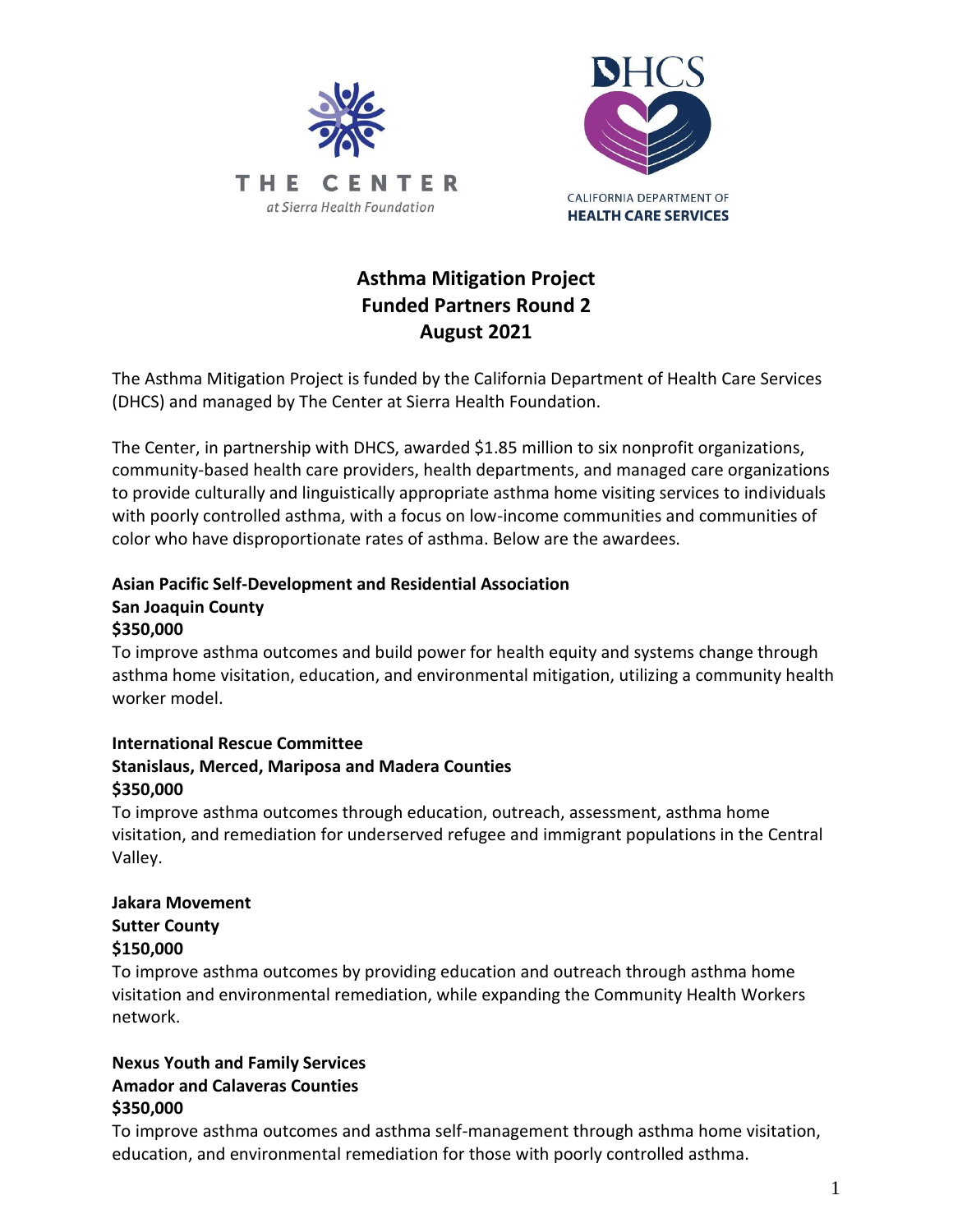



# **Asthma Mitigation Project Funded Partners Round 2 August 2021**

The Asthma Mitigation Project is funded by the California Department of Health Care Services (DHCS) and managed by The Center at Sierra Health Foundation.

The Center, in partnership with DHCS, awarded \$1.85 million to six nonprofit organizations, community-based health care providers, health departments, and managed care organizations to provide culturally and linguistically appropriate asthma home visiting services to individuals with poorly controlled asthma, with a focus on low-income communities and communities of color who have disproportionate rates of asthma. Below are the awardees.

#### **Asian Pacific Self-Development and Residential Association San Joaquin County \$350,000**

To improve asthma outcomes and build power for health equity and systems change through asthma home visitation, education, and environmental mitigation, utilizing a community health worker model.

#### **International Rescue Committee Stanislaus, Merced, Mariposa and Madera Counties \$350,000**

To improve asthma outcomes through education, outreach, assessment, asthma home visitation, and remediation for underserved refugee and immigrant populations in the Central Valley.

# **Jakara Movement Sutter County \$150,000**

To improve asthma outcomes by providing education and outreach through asthma home visitation and environmental remediation, while expanding the Community Health Workers network.

### **Nexus Youth and Family Services Amador and Calaveras Counties \$350,000**

To improve asthma outcomes and asthma self-management through asthma home visitation, education, and environmental remediation for those with poorly controlled asthma.